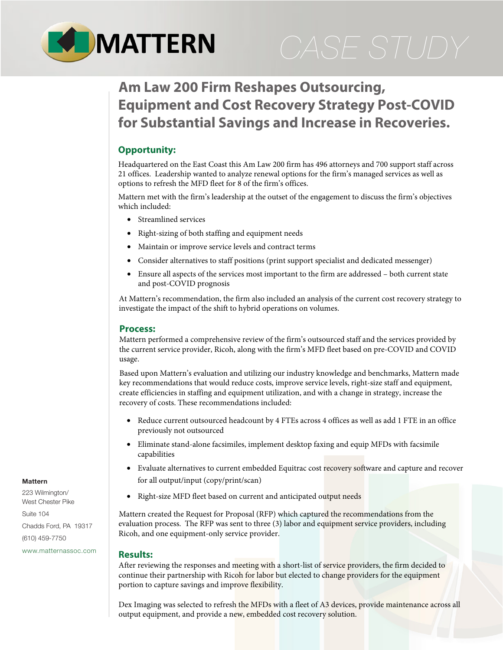

# **Am Law 200 Firm Reshapes Outsourcing, Equipment and Cost Recovery Strategy Post-COVID for Substantial Savings and Increase in Recoveries.**

## **Opportunity:**

Headquartered on the East Coast this Am Law 200 firm has 496 attorneys and 700 support staff across 21 offices. Leadership wanted to analyze renewal options for the firm's managed services as well as options to refresh the MFD fleet for 8 of the firm's offices.

Mattern met with the firm's leadership at the outset of the engagement to discuss the firm's objectives which included:

- Streamlined services
- Right-sizing of both staffing and equipment needs
- Maintain or improve service levels and contract terms
- Consider alternatives to staff positions (print support specialist and dedicated messenger)
- Ensure all aspects of the services most important to the firm are addressed both current state and post-COVID prognosis

At Mattern's recommendation, the firm also included an analysis of the current cost recovery strategy to investigate the impact of the shift to hybrid operations on volumes.

### **Process:**

Mattern performed a comprehensive review of the firm's outsourced staff and the services provided by the current service provider, Ricoh, along with the firm's MFD fleet based on pre-COVID and COVID usage.

Based upon Mattern's evaluation and utilizing our industry knowledge and benchmarks, Mattern made key recommendations that would reduce costs, improve service levels, right-size staff and equipment, create efficiencies in staffing and equipment utilization, and with a change in strategy, increase the recovery of costs. These recommendations included:

- Reduce current outsourced headcount by 4 FTEs across 4 offices as well as add 1 FTE in an office previously not outsourced
- Eliminate stand-alone facsimiles, implement desktop faxing and equip MFDs with facsimile capabilities
- Evaluate alternatives to current embedded Equitrac cost recovery software and capture and recover for all output/input (copy/print/scan)
- Right-size MFD fleet based on current and anticipated output needs

Mattern created the Request for Proposal (RFP) which captured the recommendations from the evaluation process. The RFP was sent to three (3) labor and equipment service providers, including Ricoh, and one equipment-only service provider.

#### **Results:**

After reviewing the responses and meeting with a short-list of service providers, the firm decided to continue their partnership with Ricoh for labor but elected to change providers for the equipment portion to capture savings and improve flexibility.

Dex Imaging was selected to refresh the MFDs with a fleet of A3 devices, provide maintenance across all output equipment, and provide a new, embedded cost recovery solution.

#### **Mattern**

223 Wilmington/ West Chester Pike

Suite 104 Chadds Ford, PA 19317 (610) 459-7750

[www.matternassoc.com](http://www.matternassoc.com)